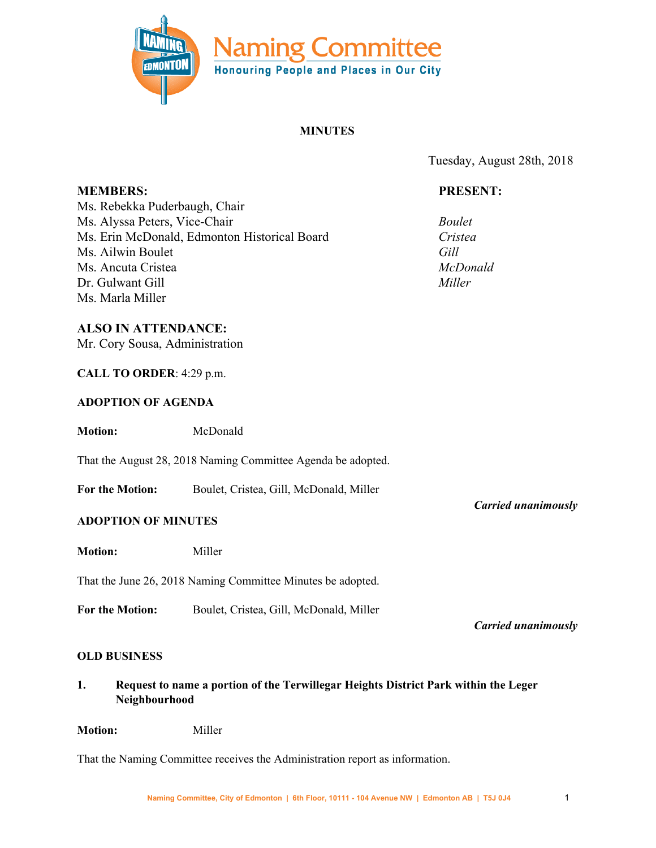

# **MINUTES**

Tuesday, August 28th, 2018

### **PRESENT:**

*Boulet Cristea Gill McDonald Miller*

**MEMBERS:** Ms. Rebekka Puderbaugh, Chair Ms. Alyssa Peters, Vice-Chair Ms. Erin McDonald, Edmonton Historical Board Ms. Ailwin Boulet Ms. Ancuta Cristea Dr. Gulwant Gill Ms. Marla Miller

### **ALSO IN ATTENDANCE:**

Mr. Cory Sousa, Administration

### **CALL TO ORDER**: 4:29 p.m.

#### **ADOPTION OF AGENDA**

**Motion:** McDonald

That the August 28, 2018 Naming Committee Agenda be adopted.

**For the Motion:** Boulet, Cristea, Gill, McDonald, Miller

### **ADOPTION OF MINUTES**

**Motion:** Miller

That the June 26, 2018 Naming Committee Minutes be adopted.

**For the Motion:** Boulet, Cristea, Gill, McDonald, Miller

*Carried unanimously*

*Carried unanimously*

## **OLD BUSINESS**

**1. Request to name a portion of the Terwillegar Heights District Park within the Leger Neighbourhood**

**Motion:** Miller

That the Naming Committee receives the Administration report as information.